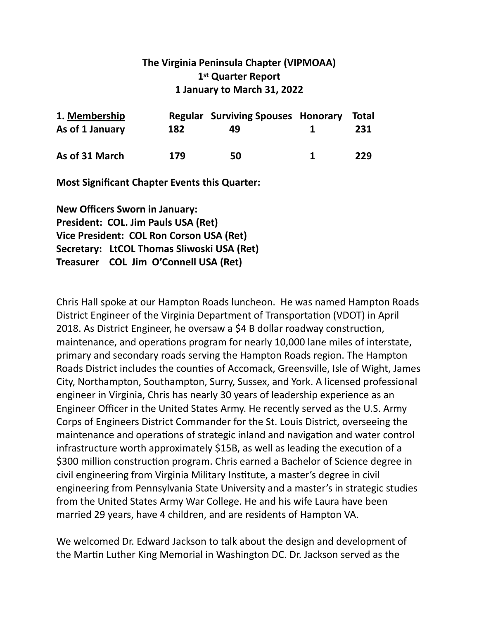## **The Virginia Peninsula Chapter (VIPMOAA)** 1st Quarter Report **1 January to March 31, 2022**

| 1. Membership   |     | <b>Regular Surviving Spouses Honorary</b> |    | Total |
|-----------------|-----|-------------------------------------------|----|-------|
| As of 1 January | 182 | 49.                                       | Ί. | 231   |
| As of 31 March  | 179 | 50                                        | Ί. | 229   |

**Most Significant Chapter Events this Quarter:** 

**New Officers Sworn in January: President: COL. Jim Pauls USA (Ret) Vice President: COL Ron Corson USA (Ret) Secretary: LtCOL Thomas Sliwoski USA (Ret) Treasurer** COL Jim O'Connell USA (Ret)

Chris Hall spoke at our Hampton Roads luncheon. He was named Hampton Roads District Engineer of the Virginia Department of Transportation (VDOT) in April 2018. As District Engineer, he oversaw a \$4 B dollar roadway construction, maintenance, and operations program for nearly 10,000 lane miles of interstate, primary and secondary roads serving the Hampton Roads region. The Hampton Roads District includes the counties of Accomack, Greensville, Isle of Wight, James City, Northampton, Southampton, Surry, Sussex, and York. A licensed professional engineer in Virginia, Chris has nearly 30 years of leadership experience as an Engineer Officer in the United States Army. He recently served as the U.S. Army Corps of Engineers District Commander for the St. Louis District, overseeing the maintenance and operations of strategic inland and navigation and water control infrastructure worth approximately  $$15B$ , as well as leading the execution of a \$300 million construction program. Chris earned a Bachelor of Science degree in civil engineering from Virginia Military Institute, a master's degree in civil engineering from Pennsylvania State University and a master's in strategic studies from the United States Army War College. He and his wife Laura have been married 29 years, have 4 children, and are residents of Hampton VA.

We welcomed Dr. Edward Jackson to talk about the design and development of the Martin Luther King Memorial in Washington DC. Dr. Jackson served as the